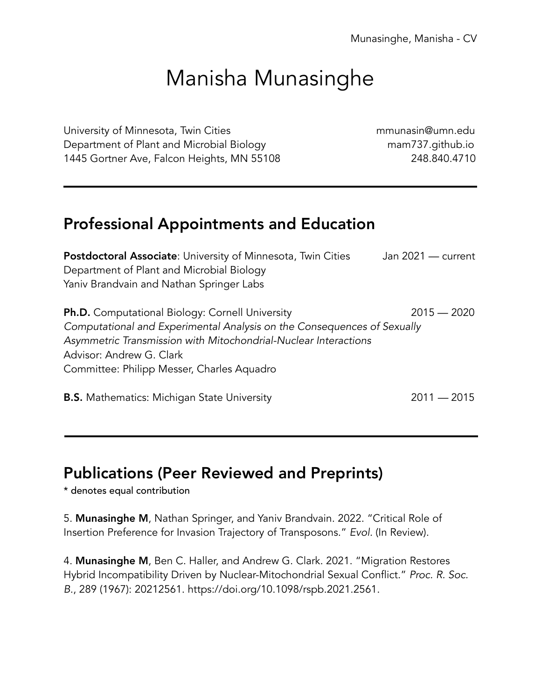# Manisha Munasinghe

University of Minnesota, Twin Cities **municipal controls and the Control**uctor of Minnesota, Twin Cities and Tu Department of Plant and Microbial Biology mam737.github.io 1445 Gortner Ave, Falcon Heights, MN 55108 248.840.4710

# Professional Appointments and Education

Postdoctoral Associate: University of Minnesota, Twin Cities Jan 2021 — current Department of Plant and Microbial Biology Yaniv Brandvain and Nathan Springer Labs

Ph.D. Computational Biology: Cornell University 2015 – 2020 *Computational and Experimental Analysis on the Consequences of Sexually Asymmetric Transmission with Mitochondrial-Nuclear Interactions* Advisor: Andrew G. Clark Committee: Philipp Messer, Charles Aquadro

B.S. Mathematics: Michigan State University 2011 *—* 2015

## Publications (Peer Reviewed and Preprints)

\* denotes equal contribution

5. Munasinghe M, Nathan Springer, and Yaniv Brandvain. 2022. "Critical Role of Insertion Preference for Invasion Trajectory of Transposons." *Evol.* (In Review).

4. Munasinghe M, Ben C. Haller, and Andrew G. Clark. 2021. "Migration Restores Hybrid Incompatibility Driven by Nuclear-Mitochondrial Sexual Conflict." *Proc. R. Soc. B.*, 289 (1967): 20212561. https://doi.org/10.1098/rspb.2021.2561.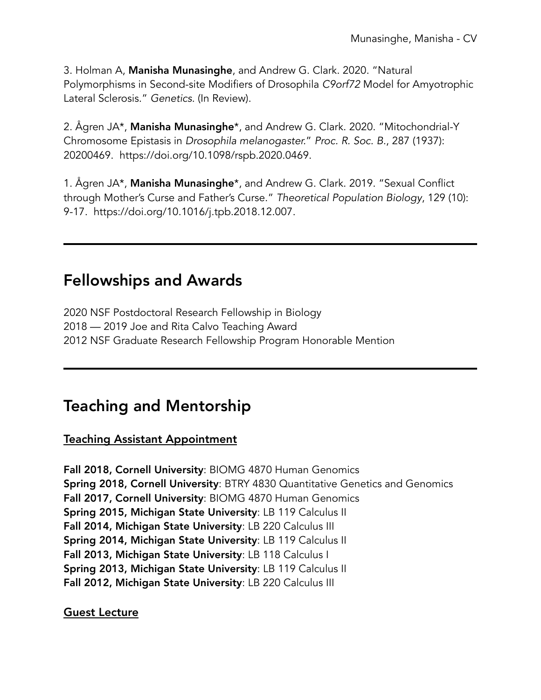3. Holman A, Manisha Munasinghe, and Andrew G. Clark. 2020. "Natural Polymorphisms in Second-site Modifiers of Drosophila *C9orf72* Model for Amyotrophic Lateral Sclerosis." *Genetics*. (In Review).

2. Ågren JA\*, Manisha Munasinghe\*, and Andrew G. Clark. 2020. "Mitochondrial-Y Chromosome Epistasis in *Drosophila melanogaster.*" *Proc. R. Soc. B.*, 287 (1937): 20200469. https://doi.org/10.1098/rspb.2020.0469.

1. Ågren JA\*, Manisha Munasinghe\*, and Andrew G. Clark. 2019. "Sexual Conflict through Mother's Curse and Father's Curse." *Theoretical Population Biology*, 129 (10): 9-17. https://doi.org/10.1016/j.tpb.2018.12.007.

## Fellowships and Awards

2020 NSF Postdoctoral Research Fellowship in Biology 2018 — 2019 Joe and Rita Calvo Teaching Award 2012 NSF Graduate Research Fellowship Program Honorable Mention

# Teaching and Mentorship

Teaching Assistant Appointment

Fall 2018, Cornell University: BIOMG 4870 Human Genomics Spring 2018, Cornell University: BTRY 4830 Quantitative Genetics and Genomics Fall 2017, Cornell University: BIOMG 4870 Human Genomics Spring 2015, Michigan State University: LB 119 Calculus II Fall 2014, Michigan State University: LB 220 Calculus III Spring 2014, Michigan State University: LB 119 Calculus II Fall 2013, Michigan State University: LB 118 Calculus I Spring 2013, Michigan State University: LB 119 Calculus II Fall 2012, Michigan State University: LB 220 Calculus III

Guest Lecture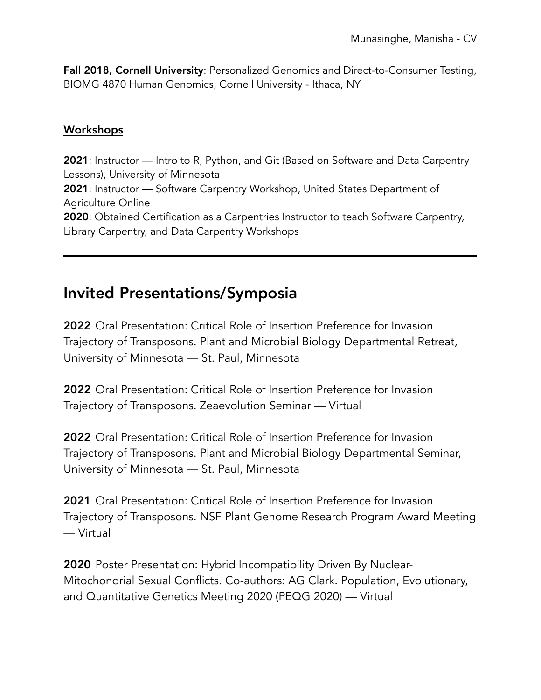Fall 2018, Cornell University: Personalized Genomics and Direct-to-Consumer Testing, BIOMG 4870 Human Genomics, Cornell University - Ithaca, NY

#### **Workshops**

2021: Instructor — Intro to R, Python, and Git (Based on Software and Data Carpentry Lessons), University of Minnesota 2021: Instructor — Software Carpentry Workshop, United States Department of Agriculture Online 2020: Obtained Certification as a Carpentries Instructor to teach Software Carpentry, Library Carpentry, and Data Carpentry Workshops

## Invited Presentations/Symposia

2022 Oral Presentation: Critical Role of Insertion Preference for Invasion Trajectory of Transposons. Plant and Microbial Biology Departmental Retreat, University of Minnesota — St. Paul, Minnesota

2022 Oral Presentation: Critical Role of Insertion Preference for Invasion Trajectory of Transposons. Zeaevolution Seminar — Virtual

2022 Oral Presentation: Critical Role of Insertion Preference for Invasion Trajectory of Transposons. Plant and Microbial Biology Departmental Seminar, University of Minnesota — St. Paul, Minnesota

2021 Oral Presentation: Critical Role of Insertion Preference for Invasion Trajectory of Transposons. NSF Plant Genome Research Program Award Meeting — Virtual

2020 Poster Presentation: Hybrid Incompatibility Driven By Nuclear-Mitochondrial Sexual Conflicts. Co-authors: AG Clark. Population, Evolutionary, and Quantitative Genetics Meeting 2020 (PEQG 2020) — Virtual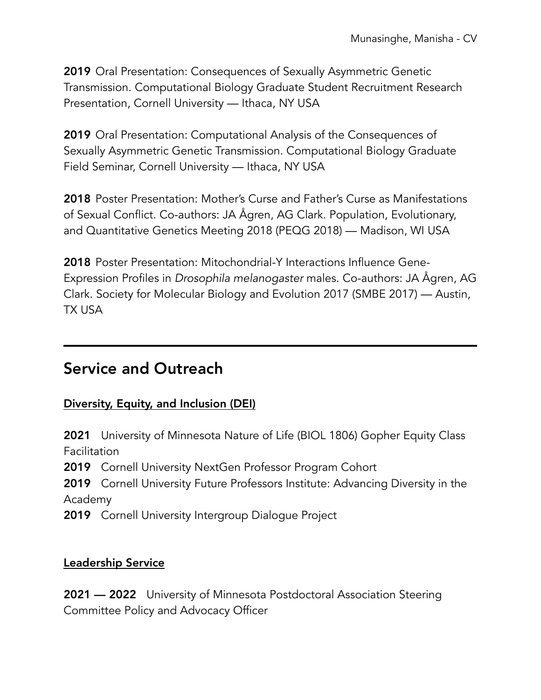2019 Oral Presentation: Consequences of Sexually Asymmetric Genetic Transmission. Computational Biology Graduate Student Recruitment Research Presentation, Cornell University — Ithaca, NY USA

2019 Oral Presentation: Computational Analysis of the Consequences of Sexually Asymmetric Genetic Transmission. Computational Biology Graduate Field Seminar, Cornell University — Ithaca, NY USA

2018 Poster Presentation: Mother's Curse and Father's Curse as Manifestations of Sexual Conflict. Co-authors: JA Ågren, AG Clark. Population, Evolutionary, and Quantitative Genetics Meeting 2018 (PEQG 2018) — Madison, WI USA

2018 Poster Presentation: Mitochondrial-Y Interactions Influence Gene-Expression Profiles in *Drosophila melanogaster* males. Co-authors: JA Ågren, AG Clark. Society for Molecular Biology and Evolution 2017 (SMBE 2017) — Austin, TX USA

## Service and Outreach

#### Diversity, Equity, and Inclusion (DEI)

2021 University of Minnesota Nature of Life (BIOL 1806) Gopher Equity Class Facilitation

2019 Cornell University NextGen Professor Program Cohort

2019 Cornell University Future Professors Institute: Advancing Diversity in the Academy

2019 Cornell University Intergroup Dialogue Project

#### Leadership Service

2021 — 2022 University of Minnesota Postdoctoral Association Steering Committee Policy and Advocacy Officer